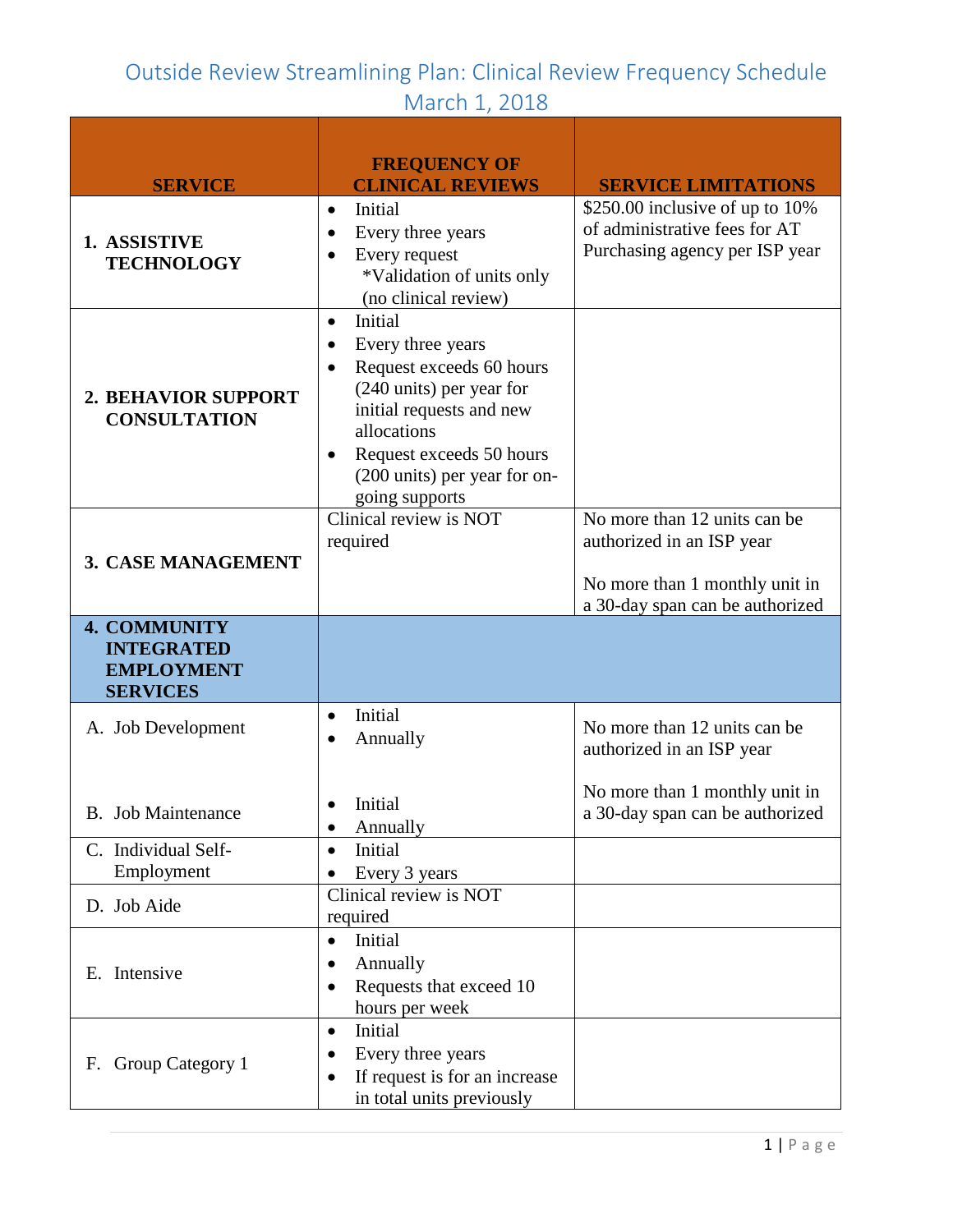|                                                                                  | <b>FREQUENCY OF</b>                                                                                                                                                                                                                                  |                                                                                                                                |
|----------------------------------------------------------------------------------|------------------------------------------------------------------------------------------------------------------------------------------------------------------------------------------------------------------------------------------------------|--------------------------------------------------------------------------------------------------------------------------------|
| <b>SERVICE</b>                                                                   | <b>CLINICAL REVIEWS</b>                                                                                                                                                                                                                              | <b>SERVICE LIMITATIONS</b>                                                                                                     |
| 1. ASSISTIVE<br><b>TECHNOLOGY</b>                                                | Initial<br>$\bullet$<br>Every three years<br>$\bullet$<br>Every request<br>*Validation of units only<br>(no clinical review)                                                                                                                         | \$250.00 inclusive of up to 10%<br>of administrative fees for AT<br>Purchasing agency per ISP year                             |
| 2. BEHAVIOR SUPPORT<br><b>CONSULTATION</b>                                       | Initial<br>$\bullet$<br>Every three years<br>$\bullet$<br>Request exceeds 60 hours<br>(240 units) per year for<br>initial requests and new<br>allocations<br>Request exceeds 50 hours<br>$\bullet$<br>(200 units) per year for on-<br>going supports |                                                                                                                                |
| 3. CASE MANAGEMENT                                                               | Clinical review is NOT<br>required                                                                                                                                                                                                                   | No more than 12 units can be<br>authorized in an ISP year<br>No more than 1 monthly unit in<br>a 30-day span can be authorized |
| <b>4. COMMUNITY</b><br><b>INTEGRATED</b><br><b>EMPLOYMENT</b><br><b>SERVICES</b> |                                                                                                                                                                                                                                                      |                                                                                                                                |
| A. Job Development                                                               | Initial<br>$\bullet$<br>Annually                                                                                                                                                                                                                     | No more than 12 units can be<br>authorized in an ISP year                                                                      |
| B. Job Maintenance                                                               | Initial<br>Annually<br>٠                                                                                                                                                                                                                             | No more than 1 monthly unit in<br>a 30-day span can be authorized                                                              |
| C. Individual Self-<br>Employment                                                | Initial<br>$\bullet$<br>Every 3 years                                                                                                                                                                                                                |                                                                                                                                |
| D. Job Aide                                                                      | Clinical review is NOT<br>required                                                                                                                                                                                                                   |                                                                                                                                |
| E. Intensive                                                                     | Initial<br>$\bullet$<br>Annually<br>Requests that exceed 10<br>hours per week                                                                                                                                                                        |                                                                                                                                |
| F. Group Category 1                                                              | Initial<br>$\bullet$<br>Every three years<br>If request is for an increase<br>٠<br>in total units previously                                                                                                                                         |                                                                                                                                |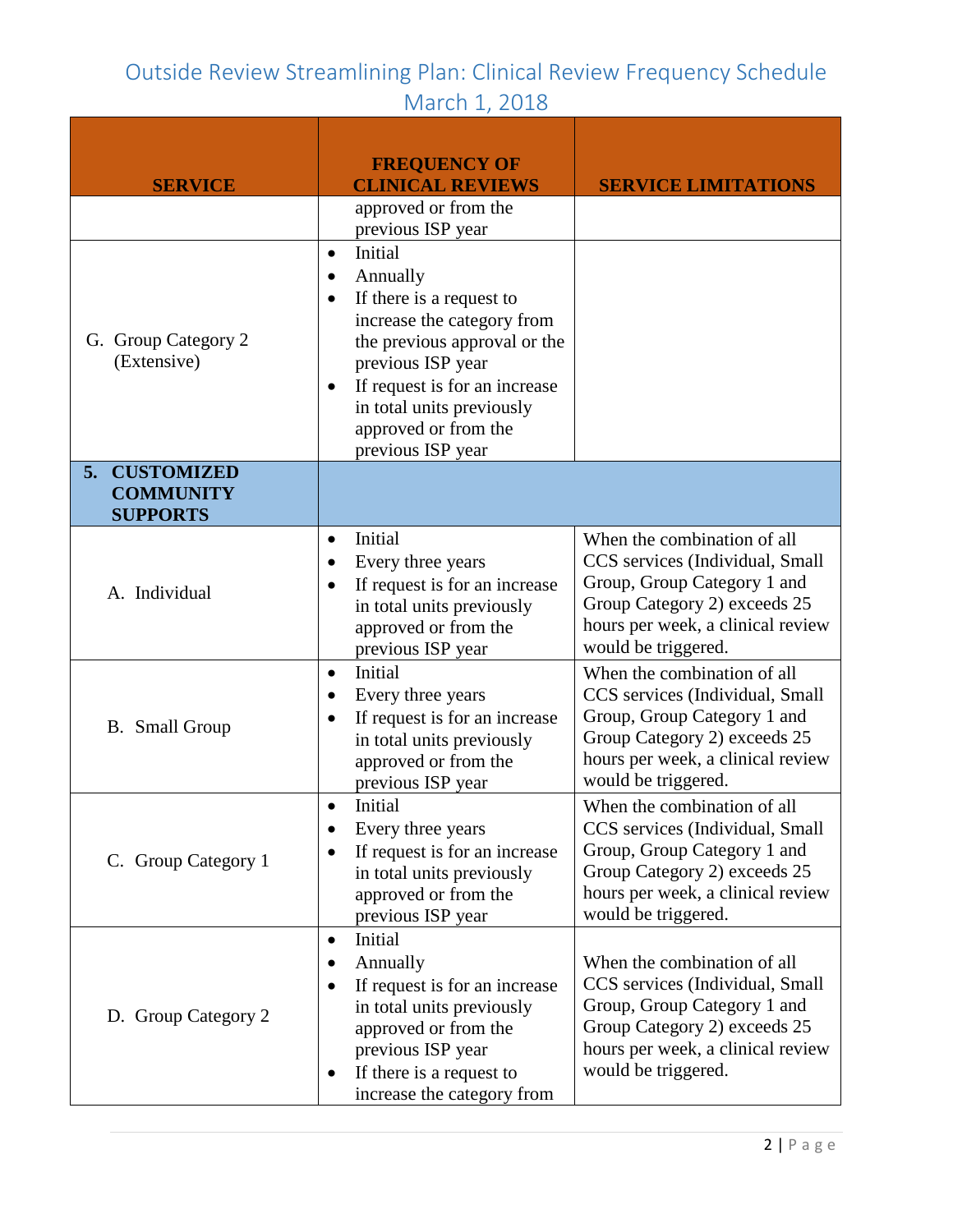| <b>SERVICE</b>                                                 | <b>FREQUENCY OF</b><br><b>CLINICAL REVIEWS</b><br>approved or from the                                                                                                                                                                                                                                 | <b>SERVICE LIMITATIONS</b>                                                                                                                                                                |
|----------------------------------------------------------------|--------------------------------------------------------------------------------------------------------------------------------------------------------------------------------------------------------------------------------------------------------------------------------------------------------|-------------------------------------------------------------------------------------------------------------------------------------------------------------------------------------------|
| G. Group Category 2<br>(Extensive)                             | previous ISP year<br>Initial<br>$\bullet$<br>Annually<br>٠<br>If there is a request to<br>٠<br>increase the category from<br>the previous approval or the<br>previous ISP year<br>If request is for an increase<br>$\bullet$<br>in total units previously<br>approved or from the<br>previous ISP year |                                                                                                                                                                                           |
| <b>CUSTOMIZED</b><br>5.<br><b>COMMUNITY</b><br><b>SUPPORTS</b> |                                                                                                                                                                                                                                                                                                        |                                                                                                                                                                                           |
| A. Individual                                                  | Initial<br>$\bullet$<br>Every three years<br>If request is for an increase<br>in total units previously<br>approved or from the<br>previous ISP year                                                                                                                                                   | When the combination of all<br>CCS services (Individual, Small<br>Group, Group Category 1 and<br>Group Category 2) exceeds 25<br>hours per week, a clinical review<br>would be triggered. |
| <b>B.</b> Small Group                                          | Initial<br>$\bullet$<br>Every three years<br>٠<br>If request is for an increase<br>in total units previously<br>approved or from the<br>previous ISP year                                                                                                                                              | When the combination of all<br>CCS services (Individual, Small<br>Group, Group Category 1 and<br>Group Category 2) exceeds 25<br>hours per week, a clinical review<br>would be triggered. |
| C. Group Category 1                                            | Initial<br>$\bullet$<br>Every three years<br>If request is for an increase<br>in total units previously<br>approved or from the<br>previous ISP year                                                                                                                                                   | When the combination of all<br>CCS services (Individual, Small<br>Group, Group Category 1 and<br>Group Category 2) exceeds 25<br>hours per week, a clinical review<br>would be triggered. |
| D. Group Category 2                                            | Initial<br>$\bullet$<br>Annually<br>If request is for an increase<br>$\bullet$<br>in total units previously<br>approved or from the<br>previous ISP year<br>If there is a request to<br>٠<br>increase the category from                                                                                | When the combination of all<br>CCS services (Individual, Small<br>Group, Group Category 1 and<br>Group Category 2) exceeds 25<br>hours per week, a clinical review<br>would be triggered. |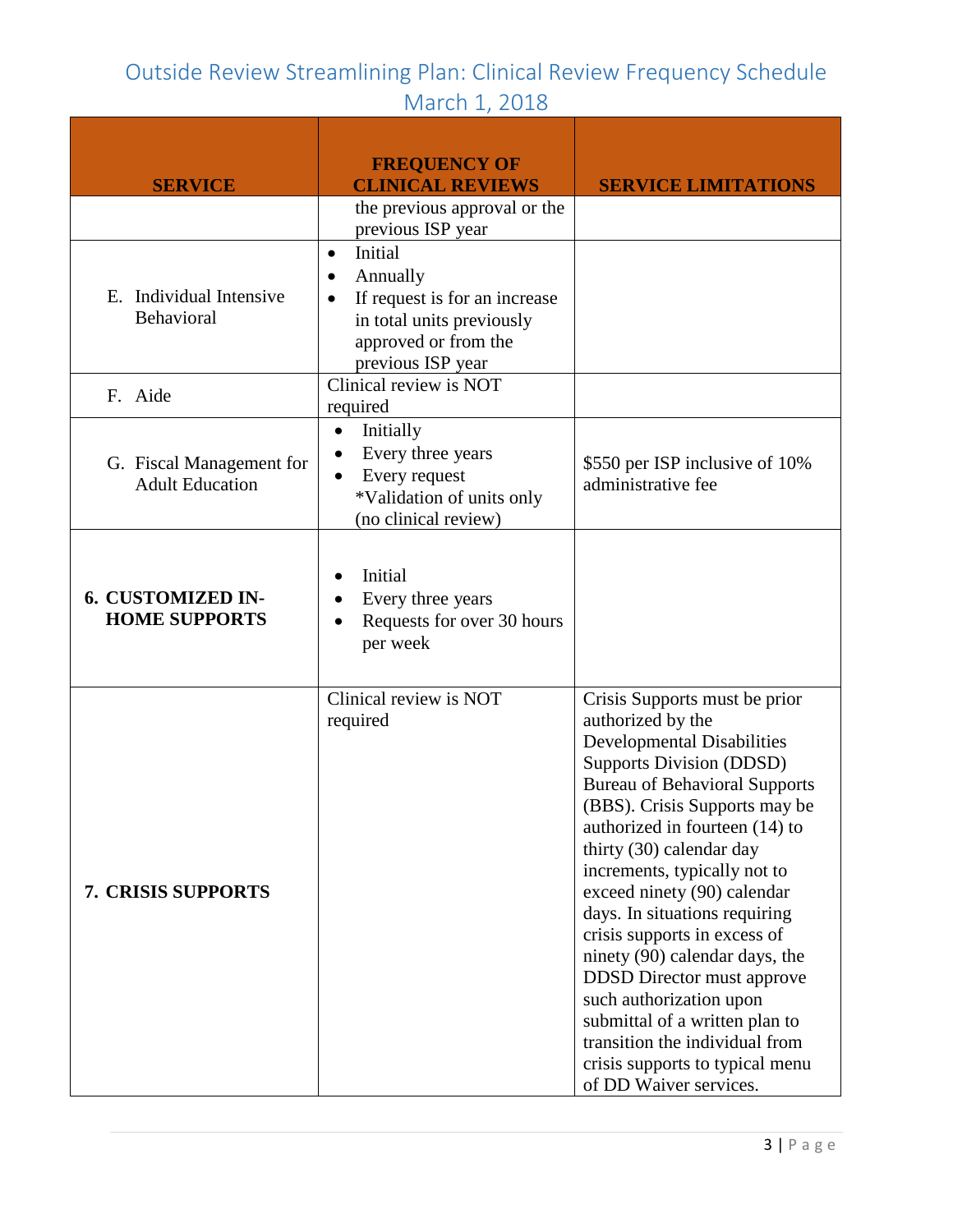| <b>SERVICE</b>                                     | <b>FREQUENCY OF</b><br><b>CLINICAL REVIEWS</b>                                                                                                   | <b>SERVICE LIMITATIONS</b>                                                                                                                                                                                                                                                                                                                                                                                                                                                                                                                                                                                                           |
|----------------------------------------------------|--------------------------------------------------------------------------------------------------------------------------------------------------|--------------------------------------------------------------------------------------------------------------------------------------------------------------------------------------------------------------------------------------------------------------------------------------------------------------------------------------------------------------------------------------------------------------------------------------------------------------------------------------------------------------------------------------------------------------------------------------------------------------------------------------|
|                                                    | the previous approval or the<br>previous ISP year                                                                                                |                                                                                                                                                                                                                                                                                                                                                                                                                                                                                                                                                                                                                                      |
| E. Individual Intensive<br>Behavioral              | Initial<br>$\bullet$<br>Annually<br>If request is for an increase<br>٠<br>in total units previously<br>approved or from the<br>previous ISP year |                                                                                                                                                                                                                                                                                                                                                                                                                                                                                                                                                                                                                                      |
| F. Aide                                            | Clinical review is NOT<br>required                                                                                                               |                                                                                                                                                                                                                                                                                                                                                                                                                                                                                                                                                                                                                                      |
| G. Fiscal Management for<br><b>Adult Education</b> | Initially<br>$\bullet$<br>Every three years<br>Every request<br>*Validation of units only<br>(no clinical review)                                | \$550 per ISP inclusive of 10%<br>administrative fee                                                                                                                                                                                                                                                                                                                                                                                                                                                                                                                                                                                 |
| 6. CUSTOMIZED IN-<br><b>HOME SUPPORTS</b>          | Initial<br>Every three years<br>Requests for over 30 hours<br>per week                                                                           |                                                                                                                                                                                                                                                                                                                                                                                                                                                                                                                                                                                                                                      |
| <b>7. CRISIS SUPPORTS</b>                          | Clinical review is NOT<br>required                                                                                                               | Crisis Supports must be prior<br>authorized by the<br><b>Developmental Disabilities</b><br><b>Supports Division (DDSD)</b><br><b>Bureau of Behavioral Supports</b><br>(BBS). Crisis Supports may be<br>authorized in fourteen (14) to<br>thirty (30) calendar day<br>increments, typically not to<br>exceed ninety (90) calendar<br>days. In situations requiring<br>crisis supports in excess of<br>ninety (90) calendar days, the<br><b>DDSD</b> Director must approve<br>such authorization upon<br>submittal of a written plan to<br>transition the individual from<br>crisis supports to typical menu<br>of DD Waiver services. |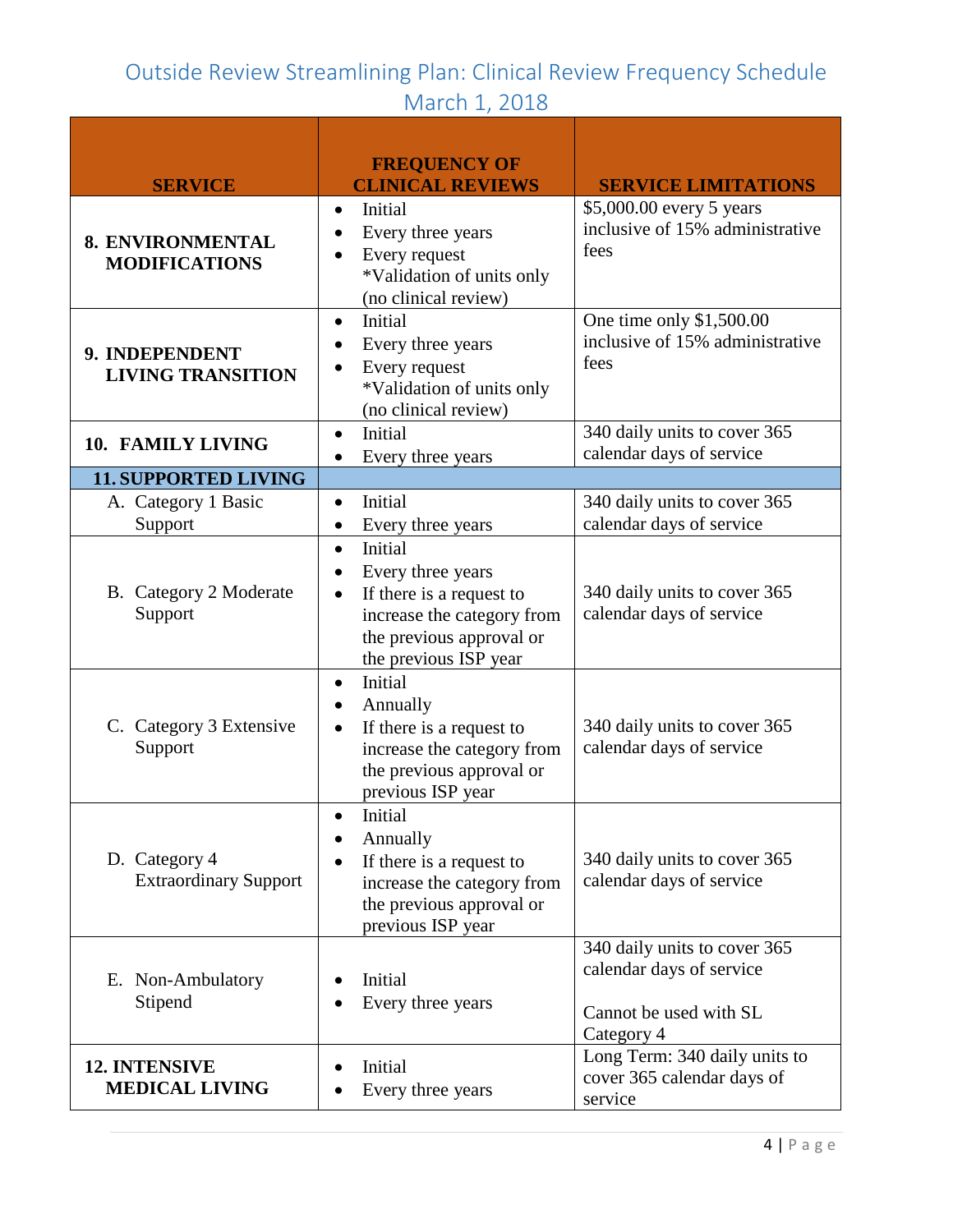| <b>SERVICE</b>                                | <b>FREQUENCY OF</b><br><b>CLINICAL REVIEWS</b>                                                                                                           | <b>SERVICE LIMITATIONS</b>                                                                       |
|-----------------------------------------------|----------------------------------------------------------------------------------------------------------------------------------------------------------|--------------------------------------------------------------------------------------------------|
| 8. ENVIRONMENTAL<br><b>MODIFICATIONS</b>      | Initial<br>$\bullet$<br>Every three years<br>Every request<br>*Validation of units only<br>(no clinical review)                                          | \$5,000.00 every 5 years<br>inclusive of 15% administrative<br>fees                              |
| 9. INDEPENDENT<br><b>LIVING TRANSITION</b>    | Initial<br>$\bullet$<br>Every three years<br>Every request<br>*Validation of units only<br>(no clinical review)                                          | One time only \$1,500.00<br>inclusive of 15% administrative<br>fees                              |
| 10. FAMILY LIVING                             | Initial<br>$\bullet$<br>Every three years<br>$\bullet$                                                                                                   | 340 daily units to cover 365<br>calendar days of service                                         |
| <b>11. SUPPORTED LIVING</b>                   |                                                                                                                                                          |                                                                                                  |
| A. Category 1 Basic<br>Support                | Initial<br>$\bullet$<br>Every three years<br>$\bullet$                                                                                                   | 340 daily units to cover 365<br>calendar days of service                                         |
| B. Category 2 Moderate<br>Support             | Initial<br>$\bullet$<br>Every three years<br>If there is a request to<br>increase the category from<br>the previous approval or<br>the previous ISP year | 340 daily units to cover 365<br>calendar days of service                                         |
| C. Category 3 Extensive<br>Support            | Initial<br>$\bullet$<br>Annually<br>If there is a request to<br>$\bullet$<br>increase the category from<br>the previous approval or<br>previous ISP year | 340 daily units to cover 365<br>calendar days of service                                         |
| D. Category 4<br><b>Extraordinary Support</b> | Initial<br>Annually<br>If there is a request to<br>increase the category from<br>the previous approval or<br>previous ISP year                           | 340 daily units to cover 365<br>calendar days of service                                         |
| E. Non-Ambulatory<br>Stipend                  | Initial<br>Every three years                                                                                                                             | 340 daily units to cover 365<br>calendar days of service<br>Cannot be used with SL<br>Category 4 |
| 12. INTENSIVE<br><b>MEDICAL LIVING</b>        | Initial<br>Every three years                                                                                                                             | Long Term: 340 daily units to<br>cover 365 calendar days of<br>service                           |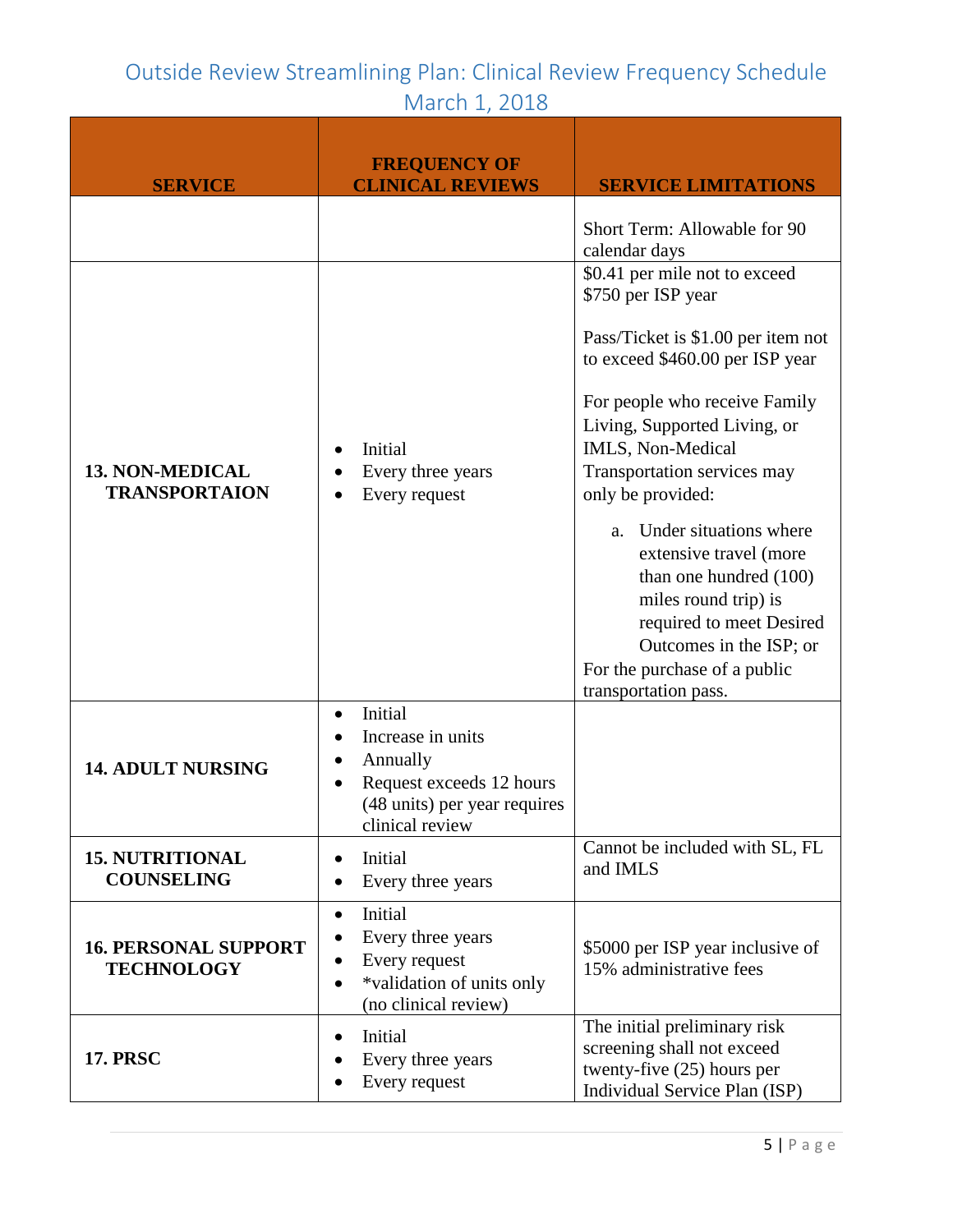| <b>SERVICE</b>                                   | <b>FREQUENCY OF</b><br><b>CLINICAL REVIEWS</b>                                                                                       | <b>SERVICE LIMITATIONS</b>                                                                                                                                                                                                                                                                                                                                                                                                                                                                     |
|--------------------------------------------------|--------------------------------------------------------------------------------------------------------------------------------------|------------------------------------------------------------------------------------------------------------------------------------------------------------------------------------------------------------------------------------------------------------------------------------------------------------------------------------------------------------------------------------------------------------------------------------------------------------------------------------------------|
|                                                  |                                                                                                                                      | Short Term: Allowable for 90<br>calendar days                                                                                                                                                                                                                                                                                                                                                                                                                                                  |
| <b>13. NON-MEDICAL</b><br><b>TRANSPORTAION</b>   | Initial<br>Every three years<br>Every request                                                                                        | \$0.41 per mile not to exceed<br>\$750 per ISP year<br>Pass/Ticket is \$1.00 per item not<br>to exceed \$460.00 per ISP year<br>For people who receive Family<br>Living, Supported Living, or<br>IMLS, Non-Medical<br>Transportation services may<br>only be provided:<br>a. Under situations where<br>extensive travel (more<br>than one hundred (100)<br>miles round trip) is<br>required to meet Desired<br>Outcomes in the ISP; or<br>For the purchase of a public<br>transportation pass. |
| <b>14. ADULT NURSING</b>                         | Initial<br>$\bullet$<br>Increase in units<br>Annually<br>Request exceeds 12 hours<br>(48 units) per year requires<br>clinical review |                                                                                                                                                                                                                                                                                                                                                                                                                                                                                                |
| <b>15. NUTRITIONAL</b><br><b>COUNSELING</b>      | Initial<br>$\bullet$<br>Every three years                                                                                            | Cannot be included with SL, FL<br>and IMLS                                                                                                                                                                                                                                                                                                                                                                                                                                                     |
| <b>16. PERSONAL SUPPORT</b><br><b>TECHNOLOGY</b> | Initial<br>$\bullet$<br>Every three years<br>Every request<br>*validation of units only<br>(no clinical review)                      | \$5000 per ISP year inclusive of<br>15% administrative fees                                                                                                                                                                                                                                                                                                                                                                                                                                    |
| <b>17. PRSC</b>                                  | Initial<br>Every three years<br>Every request                                                                                        | The initial preliminary risk<br>screening shall not exceed<br>twenty-five (25) hours per<br>Individual Service Plan (ISP)                                                                                                                                                                                                                                                                                                                                                                      |